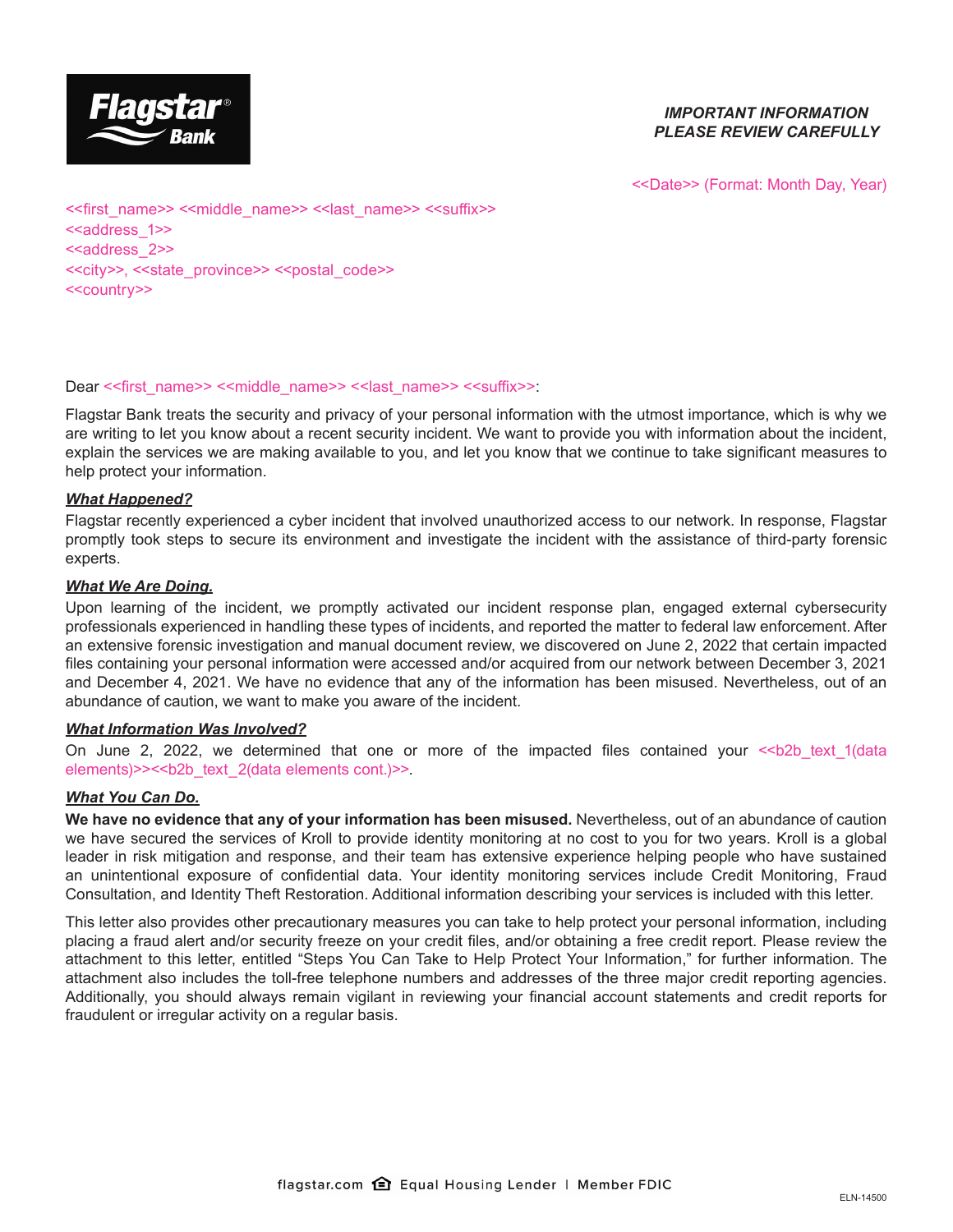

# *IMPORTANT INFORMATION PLEASE REVIEW CAREFULLY*

<<Date>> (Format: Month Day, Year)

<<first\_name>> <<middle\_name>> <<last\_name>> <<suffix>> <<address\_1>> <<address\_2>> <<city>>, <<state\_province>> <<postal\_code>> <<country>>

# Dear << first\_name>> <<middle\_name>> << last\_name>> <<suffix>>:

Flagstar Bank treats the security and privacy of your personal information with the utmost importance, which is why we are writing to let you know about a recent security incident. We want to provide you with information about the incident, explain the services we are making available to you, and let you know that we continue to take significant measures to help protect your information.

# *What Happened?*

Flagstar recently experienced a cyber incident that involved unauthorized access to our network. In response, Flagstar promptly took steps to secure its environment and investigate the incident with the assistance of third-party forensic experts.

# *What We Are Doing.*

Upon learning of the incident, we promptly activated our incident response plan, engaged external cybersecurity professionals experienced in handling these types of incidents, and reported the matter to federal law enforcement. After an extensive forensic investigation and manual document review, we discovered on June 2, 2022 that certain impacted files containing your personal information were accessed and/or acquired from our network between December 3, 2021 and December 4, 2021. We have no evidence that any of the information has been misused. Nevertheless, out of an abundance of caution, we want to make you aware of the incident.

# *What Information Was Involved?*

On June 2, 2022, we determined that one or more of the impacted files contained your <<br/>b $\geq$  text 1(data elements)>><<br/>b text\_2(data elements cont.)>>.

# *What You Can Do.*

**We have no evidence that any of your information has been misused.** Nevertheless, out of an abundance of caution we have secured the services of Kroll to provide identity monitoring at no cost to you for two years. Kroll is a global leader in risk mitigation and response, and their team has extensive experience helping people who have sustained an unintentional exposure of confidential data. Your identity monitoring services include Credit Monitoring, Fraud Consultation, and Identity Theft Restoration. Additional information describing your services is included with this letter.

This letter also provides other precautionary measures you can take to help protect your personal information, including placing a fraud alert and/or security freeze on your credit files, and/or obtaining a free credit report. Please review the attachment to this letter, entitled "Steps You Can Take to Help Protect Your Information," for further information. The attachment also includes the toll-free telephone numbers and addresses of the three major credit reporting agencies. Additionally, you should always remain vigilant in reviewing your financial account statements and credit reports for fraudulent or irregular activity on a regular basis.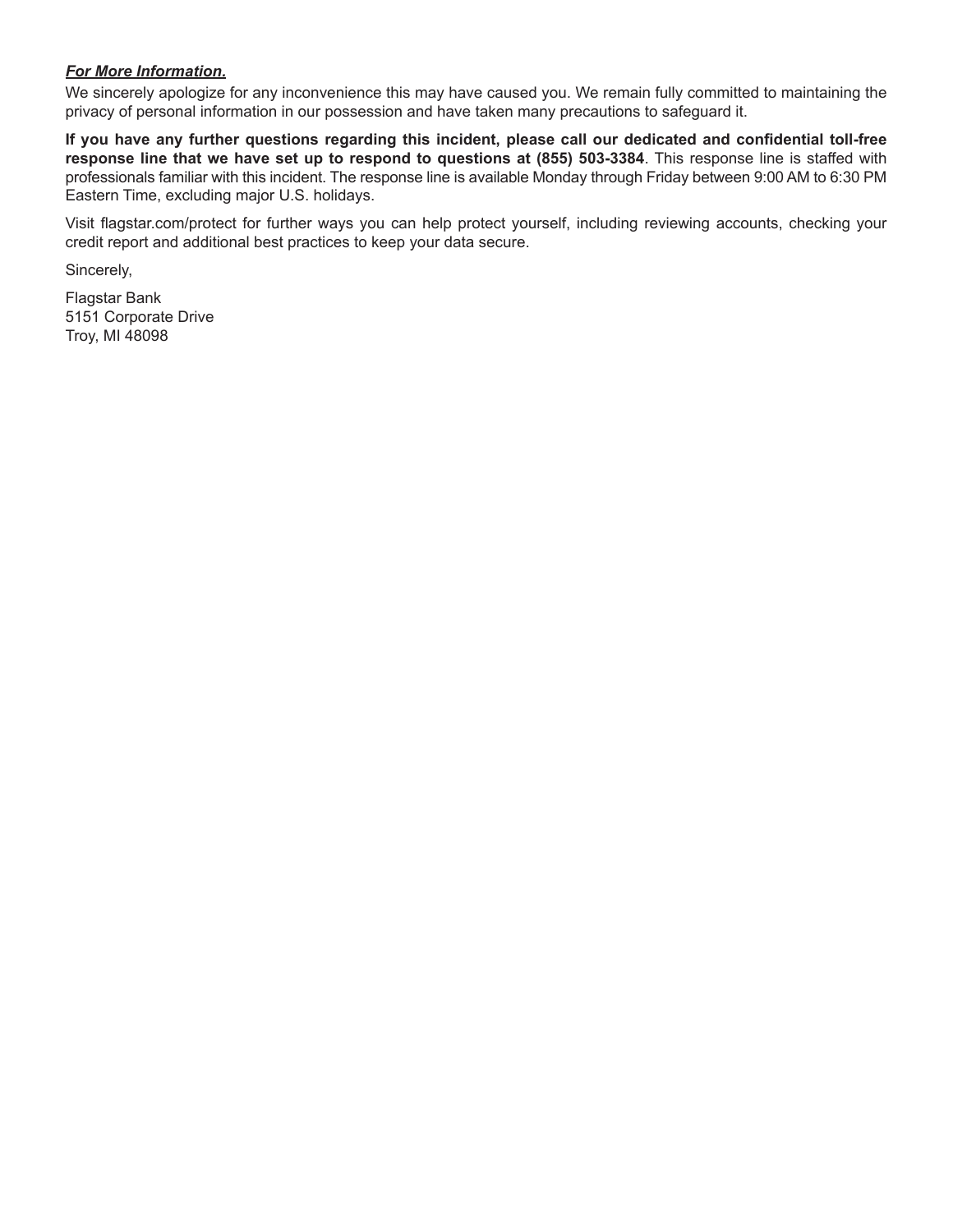# *For More Information.*

We sincerely apologize for any inconvenience this may have caused you. We remain fully committed to maintaining the privacy of personal information in our possession and have taken many precautions to safeguard it.

**If you have any further questions regarding this incident, please call our dedicated and confidential toll-free response line that we have set up to respond to questions at (855) 503-3384**. This response line is staffed with professionals familiar with this incident. The response line is available Monday through Friday between 9:00 AM to 6:30 PM Eastern Time, excluding major U.S. holidays.

Visit flagstar.com/protect for further ways you can help protect yourself, including reviewing accounts, checking your credit report and additional best practices to keep your data secure.

Sincerely,

Flagstar Bank 5151 Corporate Drive Troy, MI 48098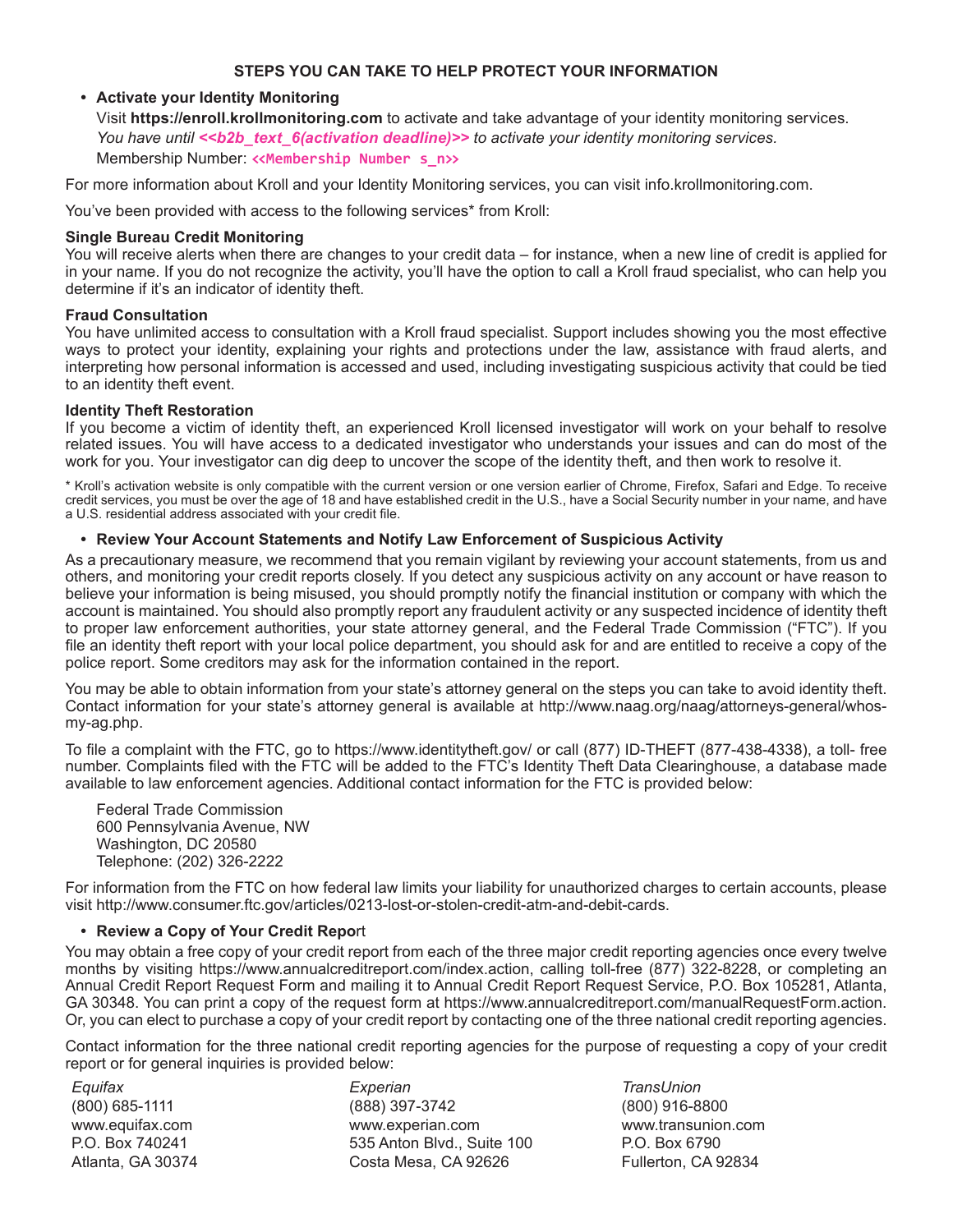# **STEPS YOU CAN TAKE TO HELP PROTECT YOUR INFORMATION**

# **• Activate your Identity Monitoring**

Visit **https://enroll.krollmonitoring.com** to activate and take advantage of your identity monitoring services. *You have until <<b2b\_text\_6(activation deadline)>> to activate your identity monitoring services.* Membership Number: **<<Membership Number s\_n>>**

For more information about Kroll and your Identity Monitoring services, you can visit info.krollmonitoring.com.

You've been provided with access to the following services\* from Kroll:

#### **Single Bureau Credit Monitoring**

You will receive alerts when there are changes to your credit data – for instance, when a new line of credit is applied for in your name. If you do not recognize the activity, you'll have the option to call a Kroll fraud specialist, who can help you determine if it's an indicator of identity theft.

#### **Fraud Consultation**

You have unlimited access to consultation with a Kroll fraud specialist. Support includes showing you the most effective ways to protect your identity, explaining your rights and protections under the law, assistance with fraud alerts, and interpreting how personal information is accessed and used, including investigating suspicious activity that could be tied to an identity theft event.

#### **Identity Theft Restoration**

If you become a victim of identity theft, an experienced Kroll licensed investigator will work on your behalf to resolve related issues. You will have access to a dedicated investigator who understands your issues and can do most of the work for you. Your investigator can dig deep to uncover the scope of the identity theft, and then work to resolve it.

\* Kroll's activation website is only compatible with the current version or one version earlier of Chrome, Firefox, Safari and Edge. To receive credit services, you must be over the age of 18 and have established credit in the U.S., have a Social Security number in your name, and have a U.S. residential address associated with your credit file.

# **• Review Your Account Statements and Notify Law Enforcement of Suspicious Activity**

As a precautionary measure, we recommend that you remain vigilant by reviewing your account statements, from us and others, and monitoring your credit reports closely. If you detect any suspicious activity on any account or have reason to believe your information is being misused, you should promptly notify the financial institution or company with which the account is maintained. You should also promptly report any fraudulent activity or any suspected incidence of identity theft to proper law enforcement authorities, your state attorney general, and the Federal Trade Commission ("FTC"). If you file an identity theft report with your local police department, you should ask for and are entitled to receive a copy of the police report. Some creditors may ask for the information contained in the report.

You may be able to obtain information from your state's attorney general on the steps you can take to avoid identity theft. Contact information for your state's attorney general is available at http://www.naag.org/naag/attorneys-general/whosmy-ag.php.

To file a complaint with the FTC, go to https://www.identitytheft.gov/ or call (877) ID-THEFT (877-438-4338), a toll- free number. Complaints filed with the FTC will be added to the FTC's Identity Theft Data Clearinghouse, a database made available to law enforcement agencies. Additional contact information for the FTC is provided below:

Federal Trade Commission 600 Pennsylvania Avenue, NW Washington, DC 20580 Telephone: (202) 326-2222

For information from the FTC on how federal law limits your liability for unauthorized charges to certain accounts, please visit http://www.consumer.ftc.gov/articles/0213-lost-or-stolen-credit-atm-and-debit-cards.

# **• Review a Copy of Your Credit Repo**rt

You may obtain a free copy of your credit report from each of the three major credit reporting agencies once every twelve months by visiting https://www.annualcreditreport.com/index.action, calling toll-free (877) 322-8228, or completing an Annual Credit Report Request Form and mailing it to Annual Credit Report Request Service, P.O. Box 105281, Atlanta, GA 30348. You can print a copy of the request form at https://www.annualcreditreport.com/manualRequestForm.action. Or, you can elect to purchase a copy of your credit report by contacting one of the three national credit reporting agencies.

Contact information for the three national credit reporting agencies for the purpose of requesting a copy of your credit report or for general inquiries is provided below:

*Equifax* (800) 685-1111 www.equifax.com P.O. Box 740241 Atlanta, GA 30374

*Experian* (888) 397-3742 www.experian.com 535 Anton Blvd., Suite 100 Costa Mesa, CA 92626

*TransUnion* (800) 916-8800 www.transunion.com P.O. Box 6790 Fullerton, CA 92834